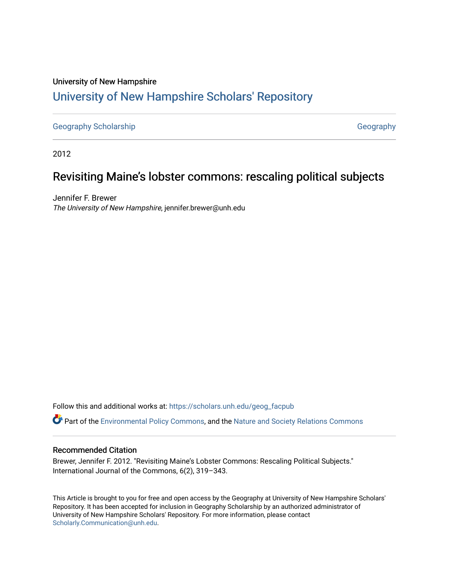# University of New Hampshire [University of New Hampshire Scholars' Repository](https://scholars.unh.edu/)

[Geography Scholarship](https://scholars.unh.edu/geog_facpub) [Geography](https://scholars.unh.edu/geog) Geography

2012

# Revisiting Maine's lobster commons: rescaling political subjects

Jennifer F. Brewer The University of New Hampshire, jennifer.brewer@unh.edu

Follow this and additional works at: [https://scholars.unh.edu/geog\\_facpub](https://scholars.unh.edu/geog_facpub?utm_source=scholars.unh.edu%2Fgeog_facpub%2F37&utm_medium=PDF&utm_campaign=PDFCoverPages)

**C**<sup> $\bullet$ </sup> Part of the [Environmental Policy Commons,](http://network.bepress.com/hgg/discipline/1027?utm_source=scholars.unh.edu%2Fgeog_facpub%2F37&utm_medium=PDF&utm_campaign=PDFCoverPages) and the [Nature and Society Relations Commons](http://network.bepress.com/hgg/discipline/357?utm_source=scholars.unh.edu%2Fgeog_facpub%2F37&utm_medium=PDF&utm_campaign=PDFCoverPages)

### Recommended Citation

Brewer, Jennifer F. 2012. "Revisiting Maine's Lobster Commons: Rescaling Political Subjects." International Journal of the Commons, 6(2), 319–343.

This Article is brought to you for free and open access by the Geography at University of New Hampshire Scholars' Repository. It has been accepted for inclusion in Geography Scholarship by an authorized administrator of University of New Hampshire Scholars' Repository. For more information, please contact [Scholarly.Communication@unh.edu](mailto:Scholarly.Communication@unh.edu).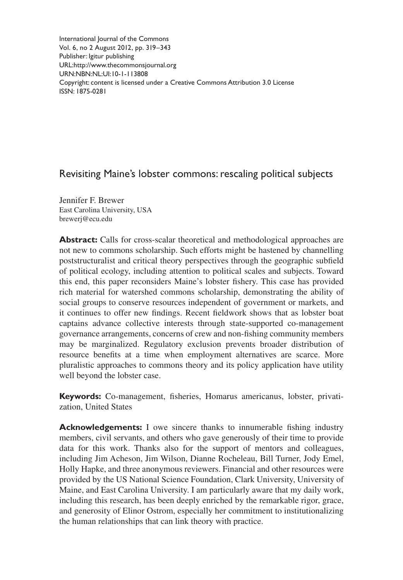International Journal of the Commons Vol. 6, no 2 August 2012, pp. 319–343 Publisher: Igitur publishing URL[:http://www.thecommonsjournal.org](http://www.thecommonsjournal.org) URN:NBN:NL:UI:10-1-113808 Copyright: content is licensed under a Creative Commons Attribution 3.0 License ISSN: 1875-0281

# Revisiting Maine's lobster commons: rescaling political subjects

Jennifer F. Brewer East Carolina University, USA brewerj@ecu.edu

**Abstract:** Calls for cross-scalar theoretical and methodological approaches are not new to commons scholarship. Such efforts might be hastened by channelling poststructuralist and critical theory perspectives through the geographic subfield of political ecology, including attention to political scales and subjects. Toward this end, this paper reconsiders Maine's lobster fishery. This case has provided rich material for watershed commons scholarship, demonstrating the ability of social groups to conserve resources independent of government or markets, and it continues to offer new findings. Recent fieldwork shows that as lobster boat captains advance collective interests through state-supported co-management governance arrangements, concerns of crew and non-fishing community members may be marginalized. Regulatory exclusion prevents broader distribution of resource benefits at a time when employment alternatives are scarce. More pluralistic approaches to commons theory and its policy application have utility well beyond the lobster case.

**Keywords:** Co-management, fisheries, Homarus americanus, lobster, privatization, United States

**Acknowledgements:** I owe sincere thanks to innumerable fishing industry members, civil servants, and others who gave generously of their time to provide data for this work. Thanks also for the support of mentors and colleagues, including Jim Acheson, Jim Wilson, Dianne Rocheleau, Bill Turner, Jody Emel, Holly Hapke, and three anonymous reviewers. Financial and other resources were provided by the US National Science Foundation, Clark University, University of Maine, and East Carolina University. I am particularly aware that my daily work, including this research, has been deeply enriched by the remarkable rigor, grace, and generosity of Elinor Ostrom, especially her commitment to institutionalizing the human relationships that can link theory with practice.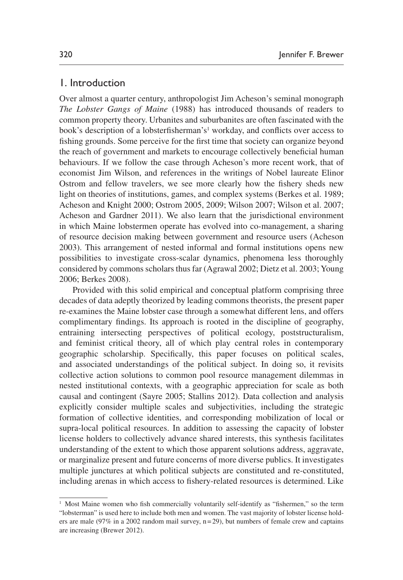## 1. Introduction

Over almost a quarter century, anthropologist [Jim Acheson's](#page-19-0) seminal monograph *[The Lobster Gangs of Maine](#page-19-0)* (1988) has introduced thousands of readers to common property theory. Urbanites and suburbanites are often fascinated with the book's description of a lobsterfisherman's<sup>[1](#page-2-0)</sup> workday, and conflicts over access to fishing grounds. Some perceive for the first time that society can organize beyond the reach of government and markets to encourage collectively beneficial human behaviours. If we follow the case through Acheson's more recent work, that of economist Jim Wilson, and references in the writings of Nobel laureate Elinor Ostrom and fellow travelers, we see more clearly how the fishery sheds new light on theories of institutions, games, and complex systems [\(Berkes et al. 1989](#page-20-0); [Acheson and Knight 2000;](#page-20-1) [Ostrom 2005](#page-23-0), [2009;](#page-23-1) [Wilson 2007](#page-25-0); [Wilson et al. 2007](#page-25-1); [Acheson and Gardner 2011](#page-20-2)). We also learn that the jurisdictional environment in which Maine lobstermen operate has evolved into co-management, a sharing of resource decision making between government and resource users [\(Acheson](#page-20-3) [2003\)](#page-20-3). This arrangement of nested informal and formal institutions opens new possibilities to investigate cross-scalar dynamics, phenomena less thoroughly considered by commons scholars thus far [\(Agrawal 2002](#page-20-4); [Dietz et al. 2003;](#page-21-0) [Young](#page-25-2) [2006;](#page-25-2) [Berkes 2008](#page-20-5)).

Provided with this solid empirical and conceptual platform comprising three decades of data adeptly theorized by leading commons theorists, the present paper re-examines the Maine lobster case through a somewhat different lens, and offers complimentary findings. Its approach is rooted in the discipline of geography, entraining intersecting perspectives of political ecology, poststructuralism, and feminist critical theory, all of which play central roles in contemporary geographic scholarship. Specifically, this paper focuses on political scales, and associated understandings of the political subject. In doing so, it revisits collective action solutions to common pool resource management dilemmas in nested institutional contexts, with a geographic appreciation for scale as both causal and contingent [\(Sayre 2005;](#page-24-0) [Stallins 2012\)](#page-24-1). Data collection and analysis explicitly consider multiple scales and subjectivities, including the strategic formation of collective identities, and corresponding mobilization of local or supra-local political resources. In addition to assessing the capacity of lobster license holders to collectively advance shared interests, this synthesis facilitates understanding of the extent to which those apparent solutions address, aggravate, or marginalize present and future concerns of more diverse publics. It investigates multiple junctures at which political subjects are constituted and re-constituted, including arenas in which access to fishery-related resources is determined. Like

<span id="page-2-0"></span><sup>&</sup>lt;sup>1</sup> Most Maine women who fish commercially voluntarily self-identify as "fishermen," so the term "lobsterman" is used here to include both men and women. The vast majority of lobster license holders are male (97% in a 2002 random mail survey,  $n=29$ ), but numbers of female crew and captains are increasing [\(Brewer 2012](#page-2-0)).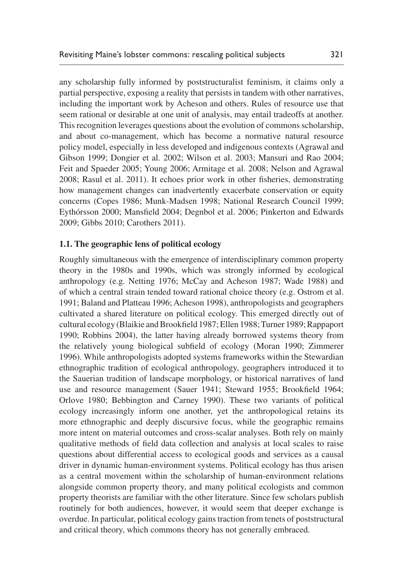any scholarship fully informed by poststructuralist feminism, it claims only a partial perspective, exposing a reality that persists in tandem with other narratives, including the important work by Acheson and others. Rules of resource use that seem rational or desirable at one unit of analysis, may entail tradeoffs at another. This recognition leverages questions about the evolution of commons scholarship, and about co-management, which has become a normative natural resource policy model, especially in less developed and indigenous contexts [\(Agrawal and](#page-20-6)  [Gibson 1999;](#page-20-6) [Dongier et al. 2002;](#page-21-1) [Wilson et al. 2003;](#page-25-3) [Mansuri and Rao 2004](#page-22-0); [Feit and Spaeder 2005;](#page-22-1) [Young 2006](#page-25-2); [Armitage et al. 2008;](#page-20-4) [Nelson and Agrawal](#page-23-2) [2008;](#page-23-2) [Rasul et al. 2011\)](#page-24-2). It echoes prior work in other fisheries, demonstrating how management changes can inadvertently exacerbate conservation or equity concerns ([Copes 1986;](#page-21-2) [Munk-Madsen 1998](#page-23-3); [National Research Council 1999](#page-23-4); [Eythórsson 2000](#page-22-2); [Mansfield 2004;](#page-22-3) [Degnbol et al. 2006;](#page-21-3) [Pinkerton and Edwards](#page-23-5) [2009;](#page-23-5) [Gibbs 2010](#page-22-4); [Carothers 2011\)](#page-21-4).

#### **1.1. The geographic lens of political ecology**

Roughly simultaneous with the emergence of interdisciplinary common property theory in the 1980s and 1990s, which was strongly informed by ecological anthropology (e.g. [Netting 1976](#page-23-6); [McCay and Acheson 1987;](#page-23-7) [Wade 1988](#page-24-3)) and of which a central strain tended toward rational choice theory (e.g. [Ostrom et al.](#page-23-8) [1991;](#page-23-8) [Baland and Platteau 1996;](#page-20-7) [Acheson 1998](#page-20-8)), anthropologists and geographers cultivated a shared literature on political ecology. This emerged directly out of cultural ecology ([Blaikie and Brookfield 1987;](#page-20-9) [Ellen 1988;](#page-21-5) [Turner 1989;](#page-24-4) [Rappaport](#page-23-9)  [1990;](#page-23-9) [Robbins 2004\)](#page-24-5), the latter having already borrowed systems theory from the relatively young biological subfield of ecology ([Moran 1990;](#page-23-10) [Zimmerer](#page-25-4)  [1996\)](#page-25-4). While anthropologists adopted systems frameworks within the Stewardian ethnographic tradition of ecological anthropology, geographers introduced it to the Sauerian tradition of landscape morphology, or historical narratives of land use and resource management ([Sauer 1941;](#page-24-6) [Steward 1955;](#page-24-7) [Brookfield 1964](#page-21-6); [Orlove 1980;](#page-23-11) [Bebbington and Carney 1990\)](#page-20-10). These two variants of political ecology increasingly inform one another, yet the anthropological retains its more ethnographic and deeply discursive focus, while the geographic remains more intent on material outcomes and cross-scalar analyses. Both rely on mainly qualitative methods of field data collection and analysis at local scales to raise questions about differential access to ecological goods and services as a causal driver in dynamic human-environment systems. Political ecology has thus arisen as a central movement within the scholarship of human-environment relations alongside common property theory, and many political ecologists and common property theorists are familiar with the other literature. Since few scholars publish routinely for both audiences, however, it would seem that deeper exchange is overdue. In particular, political ecology gains traction from tenets of poststructural and critical theory, which commons theory has not generally embraced.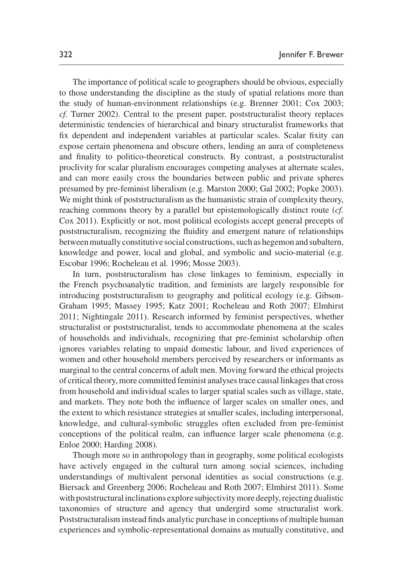The importance of political scale to geographers should be obvious, especially to those understanding the discipline as the study of spatial relations more than the study of human-environment relationships (e.g. [Brenner 2001;](#page-21-7) [Cox 2003](#page-21-8); *cf.* [Turner 2002\)](#page-24-8). Central to the present paper, poststructuralist theory replaces deterministic tendencies of hierarchical and binary structuralist frameworks that fix dependent and independent variables at particular scales. Scalar fixity can expose certain phenomena and obscure others, lending an aura of completeness and finality to politico-theoretical constructs. By contrast, a poststructuralist proclivity for scalar pluralism encourages competing analyses at alternate scales, and can more easily cross the boundaries between public and private spheres presumed by pre-feminist liberalism (e.g. [Marston 2000](#page-23-12); [Gal 2002;](#page-22-5) [Popke 2003\)](#page-23-13). We might think of poststructuralism as the humanistic strain of complexity theory, reaching commons theory by a parallel but epistemologically distinct route (*cf.* [Cox 2011\)](#page-21-8). Explicitly or not, most political ecologists accept general precepts of poststructuralism, recognizing the fluidity and emergent nature of relationships between mutually constitutive social constructions, such as hegemon and subaltern, knowledge and power, local and global, and symbolic and socio-material (e.g. [Escobar 1996](#page-22-6); [Rocheleau et al. 1996;](#page-24-9) [Mosse 2003](#page-23-14)).

In turn, poststructuralism has close linkages to feminism, especially in the French psychoanalytic tradition, and feminists are largely responsible for introducing poststructuralism to geography and political ecology (e.g. [Gibson-](#page-22-7)[Graham 1995;](#page-22-7) [Massey 1995](#page-23-15); [Katz 2001;](#page-22-8) [Rocheleau and Roth 2007;](#page-24-10) [Elmhirst](#page-21-9) [2011](#page-21-9); [Nightingale 2011](#page-23-16)). Research informed by feminist perspectives, whether structuralist or poststructuralist, tends to accommodate phenomena at the scales of households and individuals, recognizing that pre-feminist scholarship often ignores variables relating to unpaid domestic labour, and lived experiences of women and other household members perceived by researchers or informants as marginal to the central concerns of adult men. Moving forward the ethical projects of critical theory, more committed feminist analyses trace causal linkages that cross from household and individual scales to larger spatial scales such as village, state, and markets. They note both the influence of larger scales on smaller ones, and the extent to which resistance strategies at smaller scales, including interpersonal, knowledge, and cultural-symbolic struggles often excluded from pre-feminist conceptions of the political realm, can influence larger scale phenomena (e.g. [Enloe 2000;](#page-22-9) [Harding 2008\)](#page-22-10).

Though more so in anthropology than in geography, some political ecologists have actively engaged in the cultural turn among social sciences, including understandings of multivalent personal identities as social constructions (e.g. [Biersack and Greenberg 2006;](#page-20-11) [Rocheleau and Roth 2007](#page-24-10); [Elmhirst 2011](#page-21-9)). Some with poststructural inclinations explore subjectivity more deeply, rejecting dualistic taxonomies of structure and agency that undergird some structuralist work. Poststructuralism instead finds analytic purchase in conceptions of multiple human experiences and symbolic-representational domains as mutually constitutive, and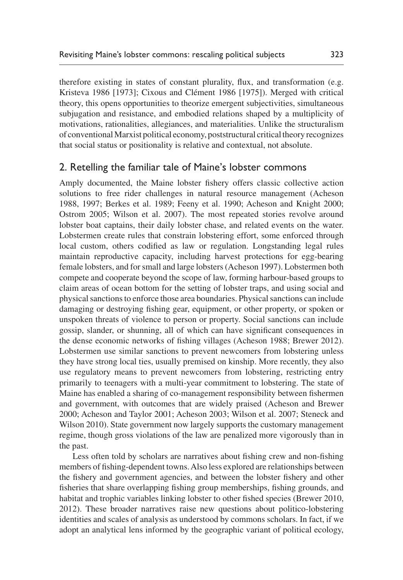therefore existing in states of constant plurality, flux, and transformation (e.g. [Kristeva 1986 \[1973\];](#page-22-11) [Cixous and Clément 1986 \[1975\]\)](#page-21-10). Merged with critical theory, this opens opportunities to theorize emergent subjectivities, simultaneous subjugation and resistance, and embodied relations shaped by a multiplicity of motivations, rationalities, allegiances, and materialities. Unlike the structuralism of conventional Marxist political economy, poststructural critical theory recognizes that social status or positionality is relative and contextual, not absolute.

## 2. Retelling the familiar tale of Maine's lobster commons

Amply documented, the Maine lobster fishery offers classic collective action solutions to free rider challenges in natural resource management [\(Acheson](#page-19-0)  [1988,](#page-19-0) [1997](#page-20-12); [Berkes et al. 1989;](#page-20-0) [Feeny et al. 1990](#page-22-12); [Acheson and Knight 2000](#page-20-13); [Ostrom 2005;](#page-23-0) [Wilson et al. 2007](#page-25-1)). The most repeated stories revolve around lobster boat captains, their daily lobster chase, and related events on the water. Lobstermen create rules that constrain lobstering effort, some enforced through local custom, others codified as law or regulation. Longstanding legal rules maintain reproductive capacity, including harvest protections for egg-bearing female lobsters, and for small and large lobsters ([Acheson 1997](#page-20-12)). Lobstermen both compete and cooperate beyond the scope of law, forming harbour-based groups to claim areas of ocean bottom for the setting of lobster traps, and using social and physical sanctions to enforce those area boundaries. Physical sanctions can include damaging or destroying fishing gear, equipment, or other property, or spoken or unspoken threats of violence to person or property. Social sanctions can include gossip, slander, or shunning, all of which can have significant consequences in the dense economic networks of fishing villages ([Acheson 1988;](#page-19-0) [Brewer 2012\)](#page-21-11). Lobstermen use similar sanctions to prevent newcomers from lobstering unless they have strong local ties, usually premised on kinship. More recently, they also use regulatory means to prevent newcomers from lobstering, restricting entry primarily to teenagers with a multi-year commitment to lobstering. The state of Maine has enabled a sharing of co-management responsibility between fishermen and government, with outcomes that are widely praised [\(Acheson and Brewer](#page-20-13)  [2000;](#page-20-13) [Acheson and Taylor 2001;](#page-20-14) [Acheson 2003](#page-20-3); [Wilson et al. 2007](#page-25-1); [Steneck and](#page-24-11) [Wilson 2010\)](#page-24-11). State government now largely supports the customary management regime, though gross violations of the law are penalized more vigorously than in the past.

Less often told by scholars are narratives about fishing crew and non-fishing members of fishing-dependent towns. Also less explored are relationships between the fishery and government agencies, and between the lobster fishery and other fisheries that share overlapping fishing group memberships, fishing grounds, and habitat and trophic variables linking lobster to other fished species [\(Brewer 2010](#page-21-12), [2012\)](#page-21-11). These broader narratives raise new questions about politico-lobstering identities and scales of analysis as understood by commons scholars. In fact, if we adopt an analytical lens informed by the geographic variant of political ecology,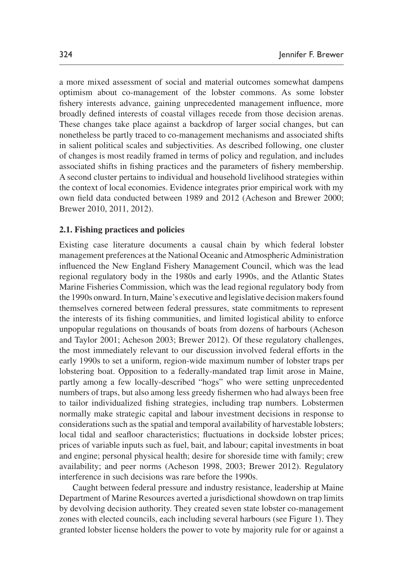a more mixed assessment of social and material outcomes somewhat dampens optimism about co-management of the lobster commons. As some lobster fishery interests advance, gaining unprecedented management influence, more broadly defined interests of coastal villages recede from those decision arenas. These changes take place against a backdrop of larger social changes, but can nonetheless be partly traced to co-management mechanisms and associated shifts in salient political scales and subjectivities. As described following, one cluster of changes is most readily framed in terms of policy and regulation, and includes associated shifts in fishing practices and the parameters of fishery membership. A second cluster pertains to individual and household livelihood strategies within the context of local economies. Evidence integrates prior empirical work with my own field data conducted between 1989 and 2012 [\(Acheson and Brewer 2000](#page-20-13); [Brewer 2010](#page-21-12), [2011](#page-21-13), [2012\)](#page-21-11).

#### **2.1. Fishing practices and policies**

Existing case literature documents a causal chain by which federal lobster management preferences at the National Oceanic and Atmospheric Administration influenced the New England Fishery Management Council, which was the lead regional regulatory body in the 1980s and early 1990s, and the Atlantic States Marine Fisheries Commission, which was the lead regional regulatory body from the 1990s onward. In turn, Maine's executive and legislative decision makers found themselves cornered between federal pressures, state commitments to represent the interests of its fishing communities, and limited logistical ability to enforce unpopular regulations on thousands of boats from dozens of harbours [\(Acheson](#page-20-14) [and Taylor 2001;](#page-20-14) [Acheson 2003](#page-20-3); [Brewer 2012\)](#page-21-11). Of these regulatory challenges, the most immediately relevant to our discussion involved federal efforts in the early 1990s to set a uniform, region-wide maximum number of lobster traps per lobstering boat. Opposition to a federally-mandated trap limit arose in Maine, partly among a few locally-described "hogs" who were setting unprecedented numbers of traps, but also among less greedy fishermen who had always been free to tailor individualized fishing strategies, including trap numbers. Lobstermen normally make strategic capital and labour investment decisions in response to considerations such as the spatial and temporal availability of harvestable lobsters; local tidal and seafloor characteristics; fluctuations in dockside lobster prices; prices of variable inputs such as fuel, bait, and labour; capital investments in boat and engine; personal physical health; desire for shoreside time with family; crew availability; and peer norms ([Acheson 1998,](#page-19-0) [2003;](#page-20-3) [Brewer 2012](#page-21-11)). Regulatory interference in such decisions was rare before the 1990s.

Caught between federal pressure and industry resistance, leadership at Maine Department of Marine Resources averted a jurisdictional showdown on trap limits by devolving decision authority. They created seven state lobster co-management zones with elected councils, each including several harbours (see Figure 1). They granted lobster license holders the power to vote by majority rule for or against a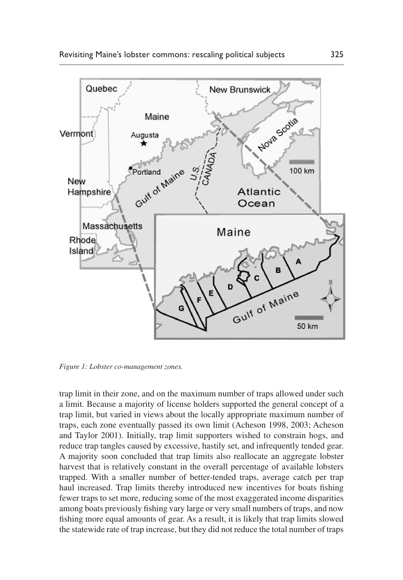

*Figure 1: Lobster co-management zones.*

trap limit in their zone, and on the maximum number of traps allowed under such a limit. Because a majority of license holders supported the general concept of a trap limit, but varied in views about the locally appropriate maximum number of traps, each zone eventually passed its own limit [\(Acheson 1998](#page-20-8), [2003;](#page-20-3) [Acheson](#page-20-14) [and Taylor 2001\)](#page-20-14). Initially, trap limit supporters wished to constrain hogs, and reduce trap tangles caused by excessive, hastily set, and infrequently tended gear. A majority soon concluded that trap limits also reallocate an aggregate lobster harvest that is relatively constant in the overall percentage of available lobsters trapped. With a smaller number of better-tended traps, average catch per trap haul increased. Trap limits thereby introduced new incentives for boats fishing fewer traps to set more, reducing some of the most exaggerated income disparities among boats previously fishing vary large or very small numbers of traps, and now fishing more equal amounts of gear. As a result, it is likely that trap limits slowed the statewide rate of trap increase, but they did not reduce the total number of traps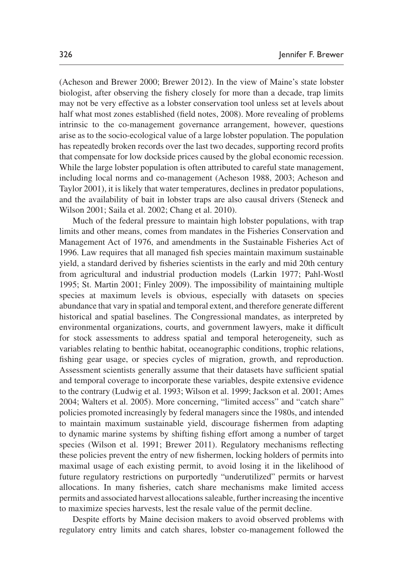[\(Acheson and Brewer 2000](#page-20-13); [Brewer 2012](#page-21-11)). In the view of Maine's state lobster biologist, after observing the fishery closely for more than a decade, trap limits may not be very effective as a lobster conservation tool unless set at levels about half what most zones established (field notes, 2008). More revealing of problems intrinsic to the co-management governance arrangement, however, questions arise as to the socio-ecological value of a large lobster population. The population has repeatedly broken records over the last two decades, supporting record profits that compensate for low dockside prices caused by the global economic recession. While the large lobster population is often attributed to careful state management, including local norms and co-management ([Acheson 1988](#page-19-0), [2003;](#page-20-3) [Acheson and](#page-20-14) [Taylor 2001](#page-20-14)), it is likely that water temperatures, declines in predator populations, and the availability of bait in lobster traps are also causal drivers [\(Steneck and](#page-24-12) [Wilson 2001](#page-24-12); [Saila et al. 2002;](#page-24-13) [Chang et al. 2010](#page-21-14)).

Much of the federal pressure to maintain high lobster populations, with trap limits and other means, comes from mandates in the Fisheries Conservation and Management Act of 1976, and amendments in the Sustainable Fisheries Act of 1996. Law requires that all managed fish species maintain maximum sustainable yield, a standard derived by fisheries scientists in the early and mid 20th century from agricultural and industrial production models [\(Larkin 1977;](#page-22-13) [Pahl-Wostl](#page-23-17) [1995;](#page-23-17) [St. Martin 2001;](#page-24-14) [Finley 2009](#page-22-14)). The impossibility of maintaining multiple species at maximum levels is obvious, especially with datasets on species abundance that vary in spatial and temporal extent, and therefore generate different historical and spatial baselines. The Congressional mandates, as interpreted by environmental organizations, courts, and government lawyers, make it difficult for stock assessments to address spatial and temporal heterogeneity, such as variables relating to benthic habitat, oceanographic conditions, trophic relations, fishing gear usage, or species cycles of migration, growth, and reproduction. Assessment scientists generally assume that their datasets have sufficient spatial and temporal coverage to incorporate these variables, despite extensive evidence to the contrary ([Ludwig et al. 1993](#page-22-15); [Wilson et al. 1999](#page-25-5); [Jackson et al. 2001;](#page-22-16) [Ames](#page-20-15) [2004;](#page-20-15) [Walters et al. 2005](#page-24-15)). More concerning, "limited access" and "catch share" policies promoted increasingly by federal managers since the 1980s, and intended to maintain maximum sustainable yield, discourage fishermen from adapting to dynamic marine systems by shifting fishing effort among a number of target species ([Wilson et al. 1991;](#page-25-6) [Brewer 2011\)](#page-21-13). Regulatory mechanisms reflecting these policies prevent the entry of new fishermen, locking holders of permits into maximal usage of each existing permit, to avoid losing it in the likelihood of future regulatory restrictions on purportedly "underutilized" permits or harvest allocations. In many fisheries, catch share mechanisms make limited access permits and associated harvest allocations saleable, further increasing the incentive to maximize species harvests, lest the resale value of the permit decline.

Despite efforts by Maine decision makers to avoid observed problems with regulatory entry limits and catch shares, lobster co-management followed the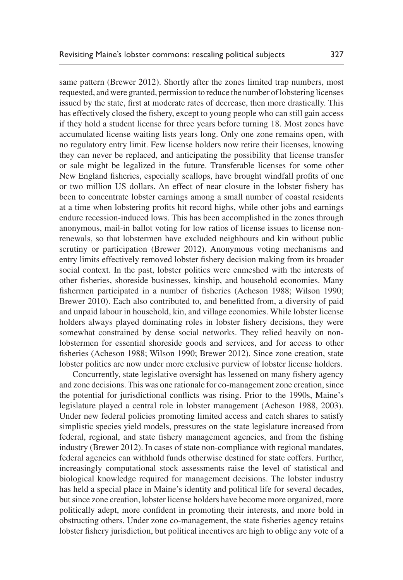same pattern ([Brewer 2012\)](#page-21-11). Shortly after the zones limited trap numbers, most requested, and were granted, permission to reduce the number of lobstering licenses issued by the state, first at moderate rates of decrease, then more drastically. This has effectively closed the fishery, except to young people who can still gain access if they hold a student license for three years before turning 18. Most zones have accumulated license waiting lists years long. Only one zone remains open, with no regulatory entry limit. Few license holders now retire their licenses, knowing they can never be replaced, and anticipating the possibility that license transfer or sale might be legalized in the future. Transferable licenses for some other New England fisheries, especially scallops, have brought windfall profits of one or two million US dollars. An effect of near closure in the lobster fishery has been to concentrate lobster earnings among a small number of coastal residents at a time when lobstering profits hit record highs, while other jobs and earnings endure recession-induced lows. This has been accomplished in the zones through anonymous, mail-in ballot voting for low ratios of license issues to license nonrenewals, so that lobstermen have excluded neighbours and kin without public scrutiny or participation [\(Brewer 2012](#page-21-11)). Anonymous voting mechanisms and entry limits effectively removed lobster fishery decision making from its broader social context. In the past, lobster politics were enmeshed with the interests of other fisheries, shoreside businesses, kinship, and household economies. Many fishermen participated in a number of fisheries ([Acheson 1988;](#page-19-0) [Wilson 1990](#page-25-7); [Brewer 2010\)](#page-21-12). Each also contributed to, and benefitted from, a diversity of paid and unpaid labour in household, kin, and village economies. While lobster license holders always played dominating roles in lobster fishery decisions, they were somewhat constrained by dense social networks. They relied heavily on nonlobstermen for essential shoreside goods and services, and for access to other fisheries [\(Acheson 1988](#page-19-0); [Wilson 1990;](#page-25-7) [Brewer 2012\)](#page-21-11). Since zone creation, state lobster politics are now under more exclusive purview of lobster license holders.

Concurrently, state legislative oversight has lessened on many fishery agency and zone decisions. This was one rationale for co-management zone creation, since the potential for jurisdictional conflicts was rising. Prior to the 1990s, Maine's legislature played a central role in lobster management [\(Acheson 1988,](#page-19-0) [2003\)](#page-20-3). Under new federal policies promoting limited access and catch shares to satisfy simplistic species yield models, pressures on the state legislature increased from federal, regional, and state fishery management agencies, and from the fishing industry [\(Brewer 2012](#page-21-11)). In cases of state non-compliance with regional mandates, federal agencies can withhold funds otherwise destined for state coffers. Further, increasingly computational stock assessments raise the level of statistical and biological knowledge required for management decisions. The lobster industry has held a special place in Maine's identity and political life for several decades, but since zone creation, lobster license holders have become more organized, more politically adept, more confident in promoting their interests, and more bold in obstructing others. Under zone co-management, the state fisheries agency retains lobster fishery jurisdiction, but political incentives are high to oblige any vote of a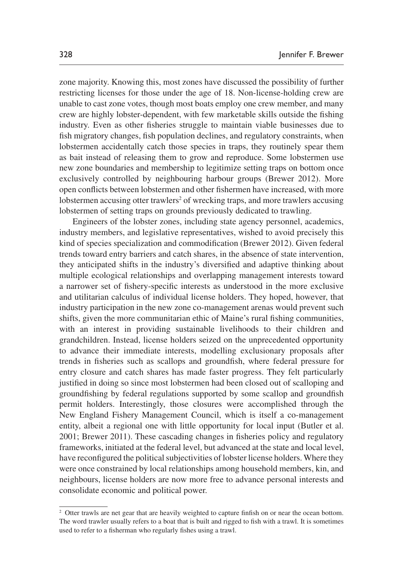zone majority. Knowing this, most zones have discussed the possibility of further restricting licenses for those under the age of 18. Non-license-holding crew are unable to cast zone votes, though most boats employ one crew member, and many crew are highly lobster-dependent, with few marketable skills outside the fishing industry. Even as other fisheries struggle to maintain viable businesses due to fish migratory changes, fish population declines, and regulatory constraints, when lobstermen accidentally catch those species in traps, they routinely spear them as bait instead of releasing them to grow and reproduce. Some lobstermen use new zone boundaries and membership to legitimize setting traps on bottom once exclusively controlled by neighbouring harbour groups ([Brewer 2012](#page-21-11)). More open conflicts between lobstermen and other fishermen have increased, with more lobstermen accusing otter trawlers<sup>2</sup> of wrecking traps, and more trawlers accusing lobstermen of setting traps on grounds previously dedicated to trawling.

Engineers of the lobster zones, including state agency personnel, academics, industry members, and legislative representatives, wished to avoid precisely this kind of species specialization and commodification ([Brewer 2012](#page-21-11)). Given federal trends toward entry barriers and catch shares, in the absence of state intervention, they anticipated shifts in the industry's diversified and adaptive thinking about multiple ecological relationships and overlapping management interests toward a narrower set of fishery-specific interests as understood in the more exclusive and utilitarian calculus of individual license holders. They hoped, however, that industry participation in the new zone co-management arenas would prevent such shifts, given the more communitarian ethic of Maine's rural fishing communities, with an interest in providing sustainable livelihoods to their children and grandchildren. Instead, license holders seized on the unprecedented opportunity to advance their immediate interests, modelling exclusionary proposals after trends in fisheries such as scallops and groundfish, where federal pressure for entry closure and catch shares has made faster progress. They felt particularly justified in doing so since most lobstermen had been closed out of scalloping and groundfishing by federal regulations supported by some scallop and groundfish permit holders. Interestingly, those closures were accomplished through the New England Fishery Management Council, which is itself a co-management entity, albeit a regional one with little opportunity for local input ([Butler et al.](#page-21-15) [2001;](#page-21-15) [Brewer 2011](#page-21-13)). These cascading changes in fisheries policy and regulatory frameworks, initiated at the federal level, but advanced at the state and local level, have reconfigured the political subjectivities of lobster license holders. Where they were once constrained by local relationships among household members, kin, and neighbours, license holders are now more free to advance personal interests and consolidate economic and political power.

<span id="page-10-0"></span><sup>&</sup>lt;sup>2</sup> Otter trawls are net gear that are heavily weighted to capture finfish on or near the ocean bottom. The word trawler usually refers to a boat that is built and rigged to fish with a trawl. It is sometimes used to refer to a fisherman who regularly fishes using a trawl.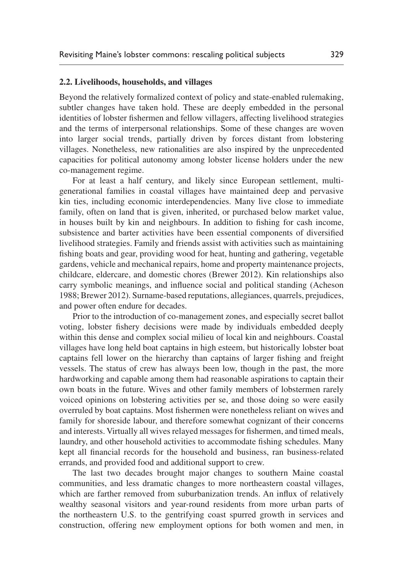#### **2.2. Livelihoods, households, and villages**

Beyond the relatively formalized context of policy and state-enabled rulemaking, subtler changes have taken hold. These are deeply embedded in the personal identities of lobster fishermen and fellow villagers, affecting livelihood strategies and the terms of interpersonal relationships. Some of these changes are woven into larger social trends, partially driven by forces distant from lobstering villages. Nonetheless, new rationalities are also inspired by the unprecedented capacities for political autonomy among lobster license holders under the new co-management regime.

For at least a half century, and likely since European settlement, multigenerational families in coastal villages have maintained deep and pervasive kin ties, including economic interdependencies. Many live close to immediate family, often on land that is given, inherited, or purchased below market value, in houses built by kin and neighbours. In addition to fishing for cash income, subsistence and barter activities have been essential components of diversified livelihood strategies. Family and friends assist with activities such as maintaining fishing boats and gear, providing wood for heat, hunting and gathering, vegetable gardens, vehicle and mechanical repairs, home and property maintenance projects, childcare, eldercare, and domestic chores ([Brewer 2012\)](#page-21-11). Kin relationships also carry symbolic meanings, and influence social and political standing [\(Acheson](#page-19-0) [1988;](#page-19-0) [Brewer 2012](#page-21-11)). Surname-based reputations, allegiances, quarrels, prejudices, and power often endure for decades.

Prior to the introduction of co-management zones, and especially secret ballot voting, lobster fishery decisions were made by individuals embedded deeply within this dense and complex social milieu of local kin and neighbours. Coastal villages have long held boat captains in high esteem, but historically lobster boat captains fell lower on the hierarchy than captains of larger fishing and freight vessels. The status of crew has always been low, though in the past, the more hardworking and capable among them had reasonable aspirations to captain their own boats in the future. Wives and other family members of lobstermen rarely voiced opinions on lobstering activities per se, and those doing so were easily overruled by boat captains. Most fishermen were nonetheless reliant on wives and family for shoreside labour, and therefore somewhat cognizant of their concerns and interests. Virtually all wives relayed messages for fishermen, and timed meals, laundry, and other household activities to accommodate fishing schedules. Many kept all financial records for the household and business, ran business-related errands, and provided food and additional support to crew.

The last two decades brought major changes to southern Maine coastal communities, and less dramatic changes to more northeastern coastal villages, which are farther removed from suburbanization trends. An influx of relatively wealthy seasonal visitors and year-round residents from more urban parts of the northeastern U.S. to the gentrifying coast spurred growth in services and construction, offering new employment options for both women and men, in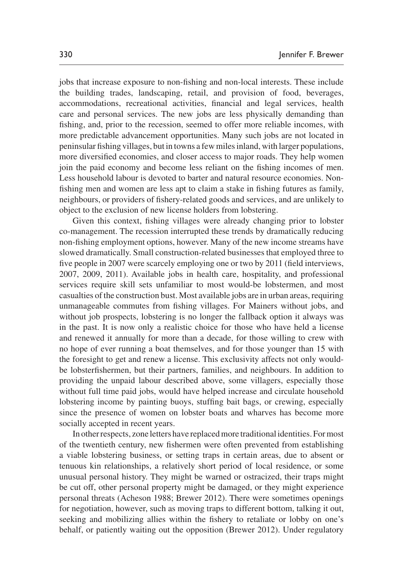jobs that increase exposure to non-fishing and non-local interests. These include the building trades, landscaping, retail, and provision of food, beverages, accommodations, recreational activities, financial and legal services, health care and personal services. The new jobs are less physically demanding than fishing, and, prior to the recession, seemed to offer more reliable incomes, with more predictable advancement opportunities. Many such jobs are not located in peninsular fishing villages, but in towns a few miles inland, with larger populations, more diversified economies, and closer access to major roads. They help women join the paid economy and become less reliant on the fishing incomes of men. Less household labour is devoted to barter and natural resource economies. Nonfishing men and women are less apt to claim a stake in fishing futures as family, neighbours, or providers of fishery-related goods and services, and are unlikely to object to the exclusion of new license holders from lobstering.

Given this context, fishing villages were already changing prior to lobster co-management. The recession interrupted these trends by dramatically reducing non-fishing employment options, however. Many of the new income streams have slowed dramatically. Small construction-related businesses that employed three to five people in 2007 were scarcely employing one or two by 2011 (field interviews, 2007, 2009, 2011). Available jobs in health care, hospitality, and professional services require skill sets unfamiliar to most would-be lobstermen, and most casualties of the construction bust. Most available jobs are in urban areas, requiring unmanageable commutes from fishing villages. For Mainers without jobs, and without job prospects, lobstering is no longer the fallback option it always was in the past. It is now only a realistic choice for those who have held a license and renewed it annually for more than a decade, for those willing to crew with no hope of ever running a boat themselves, and for those younger than 15 with the foresight to get and renew a license. This exclusivity affects not only wouldbe lobsterfishermen, but their partners, families, and neighbours. In addition to providing the unpaid labour described above, some villagers, especially those without full time paid jobs, would have helped increase and circulate household lobstering income by painting buoys, stuffing bait bags, or crewing, especially since the presence of women on lobster boats and wharves has become more socially accepted in recent years.

In other respects, zone letters have replaced more traditional identities. For most of the twentieth century, new fishermen were often prevented from establishing a viable lobstering business, or setting traps in certain areas, due to absent or tenuous kin relationships, a relatively short period of local residence, or some unusual personal history. They might be warned or ostracized, their traps might be cut off, other personal property might be damaged, or they might experience personal threats ([Acheson 1988;](#page-19-0) [Brewer 2012](#page-21-11)). There were sometimes openings for negotiation, however, such as moving traps to different bottom, talking it out, seeking and mobilizing allies within the fishery to retaliate or lobby on one's behalf, or patiently waiting out the opposition ([Brewer 2012\)](#page-21-11). Under regulatory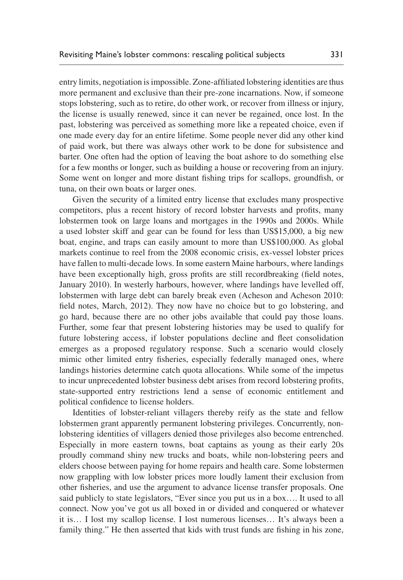entry limits, negotiation is impossible. Zone-affiliated lobstering identities are thus more permanent and exclusive than their pre-zone incarnations. Now, if someone stops lobstering, such as to retire, do other work, or recover from illness or injury, the license is usually renewed, since it can never be regained, once lost. In the past, lobstering was perceived as something more like a repeated choice, even if one made every day for an entire lifetime. Some people never did any other kind of paid work, but there was always other work to be done for subsistence and barter. One often had the option of leaving the boat ashore to do something else for a few months or longer, such as building a house or recovering from an injury. Some went on longer and more distant fishing trips for scallops, groundfish, or tuna, on their own boats or larger ones.

Given the security of a limited entry license that excludes many prospective competitors, plus a recent history of record lobster harvests and profits, many lobstermen took on large loans and mortgages in the 1990s and 2000s. While a used lobster skiff and gear can be found for less than US\$15,000, a big new boat, engine, and traps can easily amount to more than US\$100,000. As global markets continue to reel from the 2008 economic crisis, ex-vessel lobster prices have fallen to multi-decade lows. In some eastern Maine harbours, where landings have been exceptionally high, gross profits are still recordbreaking (field notes, January 2010). In westerly harbours, however, where landings have levelled off, lobstermen with large debt can barely break even (Acheson and Acheson 2010: field notes, March, 2012). They now have no choice but to go lobstering, and go hard, because there are no other jobs available that could pay those loans. Further, some fear that present lobstering histories may be used to qualify for future lobstering access, if lobster populations decline and fleet consolidation emerges as a proposed regulatory response. Such a scenario would closely mimic other limited entry fisheries, especially federally managed ones, where landings histories determine catch quota allocations. While some of the impetus to incur unprecedented lobster business debt arises from record lobstering profits, state-supported entry restrictions lend a sense of economic entitlement and political confidence to license holders.

Identities of lobster-reliant villagers thereby reify as the state and fellow lobstermen grant apparently permanent lobstering privileges. Concurrently, nonlobstering identities of villagers denied those privileges also become entrenched. Especially in more eastern towns, boat captains as young as their early 20s proudly command shiny new trucks and boats, while non-lobstering peers and elders choose between paying for home repairs and health care. Some lobstermen now grappling with low lobster prices more loudly lament their exclusion from other fisheries, and use the argument to advance license transfer proposals. One said publicly to state legislators, "Ever since you put us in a box…. It used to all connect. Now you've got us all boxed in or divided and conquered or whatever it is… I lost my scallop license. I lost numerous licenses… It's always been a family thing." He then asserted that kids with trust funds are fishing in his zone,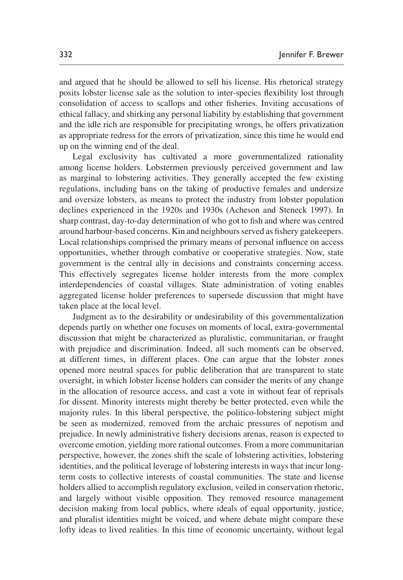and argued that he should be allowed to sell his license. His rhetorical strategy posits lobster license sale as the solution to inter-species flexibility lost through consolidation of access to scallops and other fisheries. Inviting accusations of ethical fallacy, and shirking any personal liability by establishing that government and the idle rich are responsible for precipitating wrongs, he offers privatization as appropriate redress for the errors of privatization, since this time he would end up on the winning end of the deal.

Legal exclusivity has cultivated a more governmentalized rationality among license holders. Lobstermen previously perceived government and law as marginal to lobstering activities. They generally accepted the few existing regulations, including bans on the taking of productive females and undersize and oversize lobsters, as means to protect the industry from lobster population declines experienced in the 1920s and 1930s ([Acheson and Steneck 1997](#page-20-12)). In sharp contrast, day-to-day determination of who got to fish and where was centred around harbour-based concerns. Kin and neighbours served as fishery gatekeepers. Local relationships comprised the primary means of personal influence on access opportunities, whether through combative or cooperative strategies. Now, state government is the central ally in decisions and constraints concerning access. This effectively segregates license holder interests from the more complex interdependencies of coastal villages. State administration of voting enables aggregated license holder preferences to supersede discussion that might have taken place at the local level.

Judgment as to the desirability or undesirability of this governmentalization depends partly on whether one focuses on moments of local, extra-governmental discussion that might be characterized as pluralistic, communitarian, or fraught with prejudice and discrimination. Indeed, all such moments can be observed, at different times, in different places. One can argue that the lobster zones opened more neutral spaces for public deliberation that are transparent to state oversight, in which lobster license holders can consider the merits of any change in the allocation of resource access, and cast a vote in without fear of reprisals for dissent. Minority interests might thereby be better protected, even while the majority rules. In this liberal perspective, the politico-lobstering subject might be seen as modernized, removed from the archaic pressures of nepotism and prejudice. In newly administrative fishery decisions arenas, reason is expected to overcome emotion, yielding more rational outcomes. From a more communitarian perspective, however, the zones shift the scale of lobstering activities, lobstering identities, and the political leverage of lobstering interests in ways that incur longterm costs to collective interests of coastal communities. The state and license holders allied to accomplish regulatory exclusion, veiled in conservation rhetoric, and largely without visible opposition. They removed resource management decision making from local publics, where ideals of equal opportunity, justice, and pluralist identities might be voiced, and where debate might compare these lofty ideas to lived realities. In this time of economic uncertainty, without legal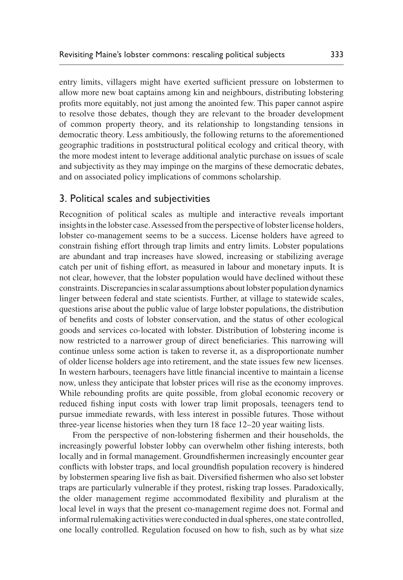entry limits, villagers might have exerted sufficient pressure on lobstermen to allow more new boat captains among kin and neighbours, distributing lobstering profits more equitably, not just among the anointed few. This paper cannot aspire to resolve those debates, though they are relevant to the broader development of common property theory, and its relationship to longstanding tensions in democratic theory. Less ambitiously, the following returns to the aforementioned geographic traditions in poststructural political ecology and critical theory, with the more modest intent to leverage additional analytic purchase on issues of scale and subjectivity as they may impinge on the margins of these democratic debates, and on associated policy implications of commons scholarship.

# 3. Political scales and subjectivities

Recognition of political scales as multiple and interactive reveals important insights in the lobster case. Assessed from the perspective of lobster license holders, lobster co-management seems to be a success. License holders have agreed to constrain fishing effort through trap limits and entry limits. Lobster populations are abundant and trap increases have slowed, increasing or stabilizing average catch per unit of fishing effort, as measured in labour and monetary inputs. It is not clear, however, that the lobster population would have declined without these constraints. Discrepancies in scalar assumptions about lobster population dynamics linger between federal and state scientists. Further, at village to statewide scales, questions arise about the public value of large lobster populations, the distribution of benefits and costs of lobster conservation, and the status of other ecological goods and services co-located with lobster. Distribution of lobstering income is now restricted to a narrower group of direct beneficiaries. This narrowing will continue unless some action is taken to reverse it, as a disproportionate number of older license holders age into retirement, and the state issues few new licenses. In western harbours, teenagers have little financial incentive to maintain a license now, unless they anticipate that lobster prices will rise as the economy improves. While rebounding profits are quite possible, from global economic recovery or reduced fishing input costs with lower trap limit proposals, teenagers tend to pursue immediate rewards, with less interest in possible futures. Those without three-year license histories when they turn 18 face 12–20 year waiting lists.

From the perspective of non-lobstering fishermen and their households, the increasingly powerful lobster lobby can overwhelm other fishing interests, both locally and in formal management. Groundfishermen increasingly encounter gear conflicts with lobster traps, and local groundfish population recovery is hindered by lobstermen spearing live fish as bait. Diversified fishermen who also set lobster traps are particularly vulnerable if they protest, risking trap losses. Paradoxically, the older management regime accommodated flexibility and pluralism at the local level in ways that the present co-management regime does not. Formal and informal rulemaking activities were conducted in dual spheres, one state controlled, one locally controlled. Regulation focused on how to fish, such as by what size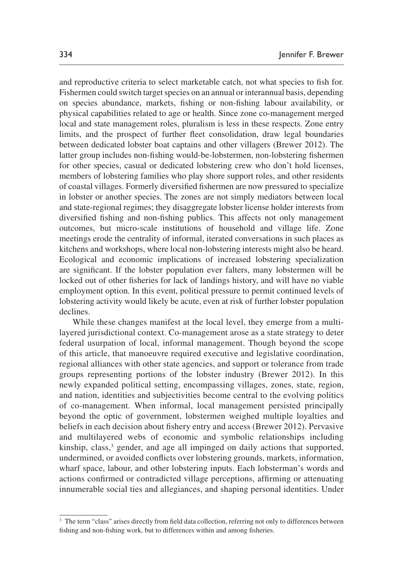and reproductive criteria to select marketable catch, not what species to fish for. Fishermen could switch target species on an annual or interannual basis, depending on species abundance, markets, fishing or non-fishing labour availability, or physical capabilities related to age or health. Since zone co-management merged local and state management roles, pluralism is less in these respects. Zone entry limits, and the prospect of further fleet consolidation, draw legal boundaries between dedicated lobster boat captains and other villagers [\(Brewer 2012](#page-21-11)). The latter group includes non-fishing would-be-lobstermen, non-lobstering fishermen for other species, casual or dedicated lobstering crew who don't hold licenses, members of lobstering families who play shore support roles, and other residents of coastal villages. Formerly diversified fishermen are now pressured to specialize in lobster or another species. The zones are not simply mediators between local and state-regional regimes; they disaggregate lobster license holder interests from diversified fishing and non-fishing publics. This affects not only management outcomes, but micro-scale institutions of household and village life. Zone meetings erode the centrality of informal, iterated conversations in such places as kitchens and workshops, where local non-lobstering interests might also be heard. Ecological and economic implications of increased lobstering specialization are significant. If the lobster population ever falters, many lobstermen will be locked out of other fisheries for lack of landings history, and will have no viable employment option. In this event, political pressure to permit continued levels of lobstering activity would likely be acute, even at risk of further lobster population declines.

While these changes manifest at the local level, they emerge from a multilayered jurisdictional context. Co-management arose as a state strategy to deter federal usurpation of local, informal management. Though beyond the scope of this article, that manoeuvre required executive and legislative coordination, regional alliances with other state agencies, and support or tolerance from trade groups representing portions of the lobster industry ([Brewer 2012\)](#page-21-11). In this newly expanded political setting, encompassing villages, zones, state, region, and nation, identities and subjectivities become central to the evolving politics of co-management. When informal, local management persisted principally beyond the optic of government, lobstermen weighed multiple loyalties and beliefs in each decision about fishery entry and access ([Brewer 2012\)](#page-21-11). Pervasive and multilayered webs of economic and symbolic relationships including kinship, class,<sup>[3](#page-16-0)</sup> gender, and age all impinged on daily actions that supported, undermined, or avoided conflicts over lobstering grounds, markets, information, wharf space, labour, and other lobstering inputs. Each lobsterman's words and actions confirmed or contradicted village perceptions, affirming or attenuating innumerable social ties and allegiances, and shaping personal identities. Under

<span id="page-16-0"></span><sup>&</sup>lt;sup>3</sup> The term "class" arises directly from field data collection, referring not only to differences between fishing and non-fishing work, but to differences within and among fisheries.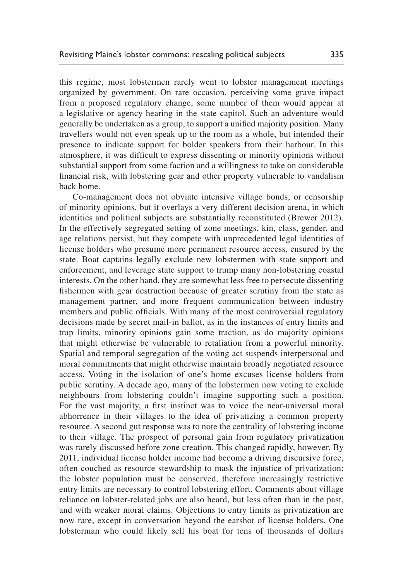this regime, most lobstermen rarely went to lobster management meetings organized by government. On rare occasion, perceiving some grave impact from a proposed regulatory change, some number of them would appear at a legislative or agency hearing in the state capitol. Such an adventure would generally be undertaken as a group, to support a unified majority position. Many travellers would not even speak up to the room as a whole, but intended their presence to indicate support for bolder speakers from their harbour. In this atmosphere, it was difficult to express dissenting or minority opinions without substantial support from some faction and a willingness to take on considerable financial risk, with lobstering gear and other property vulnerable to vandalism back home.

Co-management does not obviate intensive village bonds, or censorship of minority opinions, but it overlays a very different decision arena, in which identities and political subjects are substantially reconstituted ([Brewer 2012\)](#page-21-11). In the effectively segregated setting of zone meetings, kin, class, gender, and age relations persist, but they compete with unprecedented legal identities of license holders who presume more permanent resource access, ensured by the state. Boat captains legally exclude new lobstermen with state support and enforcement, and leverage state support to trump many non-lobstering coastal interests. On the other hand, they are somewhat less free to persecute dissenting fishermen with gear destruction because of greater scrutiny from the state as management partner, and more frequent communication between industry members and public officials. With many of the most controversial regulatory decisions made by secret mail-in ballot, as in the instances of entry limits and trap limits, minority opinions gain some traction, as do majority opinions that might otherwise be vulnerable to retaliation from a powerful minority. Spatial and temporal segregation of the voting act suspends interpersonal and moral commitments that might otherwise maintain broadly negotiated resource access. Voting in the isolation of one's home excuses license holders from public scrutiny. A decade ago, many of the lobstermen now voting to exclude neighbours from lobstering couldn't imagine supporting such a position. For the vast majority, a first instinct was to voice the near-universal moral abhorrence in their villages to the idea of privatizing a common property resource. A second gut response was to note the centrality of lobstering income to their village. The prospect of personal gain from regulatory privatization was rarely discussed before zone creation. This changed rapidly, however. By 2011, individual license holder income had become a driving discursive force, often couched as resource stewardship to mask the injustice of privatization: the lobster population must be conserved, therefore increasingly restrictive entry limits are necessary to control lobstering effort. Comments about village reliance on lobster-related jobs are also heard, but less often than in the past, and with weaker moral claims. Objections to entry limits as privatization are now rare, except in conversation beyond the earshot of license holders. One lobsterman who could likely sell his boat for tens of thousands of dollars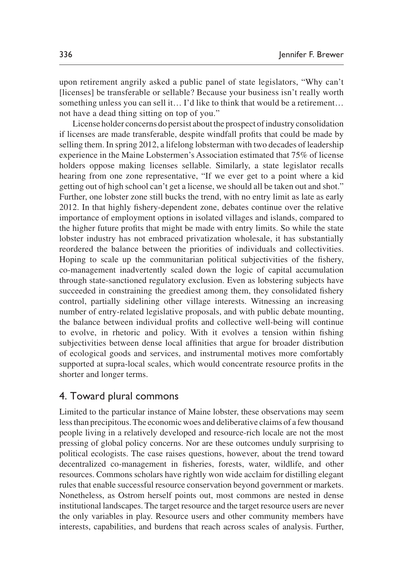upon retirement angrily asked a public panel of state legislators, "Why can't [licenses] be transferable or sellable? Because your business isn't really worth something unless you can sell it… I'd like to think that would be a retirement... not have a dead thing sitting on top of you."

License holder concerns do persist about the prospect of industry consolidation if licenses are made transferable, despite windfall profits that could be made by selling them. In spring 2012, a lifelong lobsterman with two decades of leadership experience in the Maine Lobstermen's Association estimated that 75% of license holders oppose making licenses sellable. Similarly, a state legislator recalls hearing from one zone representative, "If we ever get to a point where a kid getting out of high school can't get a license, we should all be taken out and shot." Further, one lobster zone still bucks the trend, with no entry limit as late as early 2012. In that highly fishery-dependent zone, debates continue over the relative importance of employment options in isolated villages and islands, compared to the higher future profits that might be made with entry limits. So while the state lobster industry has not embraced privatization wholesale, it has substantially reordered the balance between the priorities of individuals and collectivities. Hoping to scale up the communitarian political subjectivities of the fishery, co-management inadvertently scaled down the logic of capital accumulation through state-sanctioned regulatory exclusion. Even as lobstering subjects have succeeded in constraining the greediest among them, they consolidated fishery control, partially sidelining other village interests. Witnessing an increasing number of entry-related legislative proposals, and with public debate mounting, the balance between individual profits and collective well-being will continue to evolve, in rhetoric and policy. With it evolves a tension within fishing subjectivities between dense local affinities that argue for broader distribution of ecological goods and services, and instrumental motives more comfortably supported at supra-local scales, which would concentrate resource profits in the shorter and longer terms.

# 4. Toward plural commons

Limited to the particular instance of Maine lobster, these observations may seem less than precipitous. The economic woes and deliberative claims of a few thousand people living in a relatively developed and resource-rich locale are not the most pressing of global policy concerns. Nor are these outcomes unduly surprising to political ecologists. The case raises questions, however, about the trend toward decentralized co-management in fisheries, forests, water, wildlife, and other resources. Commons scholars have rightly won wide acclaim for distilling elegant rules that enable successful resource conservation beyond government or markets. Nonetheless, as Ostrom herself points out, most commons are nested in dense institutional landscapes. The target resource and the target resource users are never the only variables in play. Resource users and other community members have interests, capabilities, and burdens that reach across scales of analysis. Further,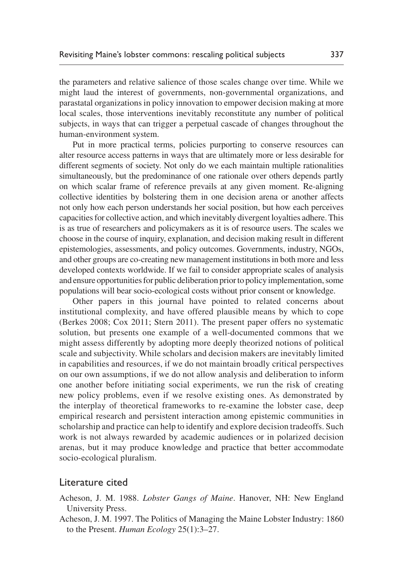the parameters and relative salience of those scales change over time. While we might laud the interest of governments, non-governmental organizations, and parastatal organizations in policy innovation to empower decision making at more local scales, those interventions inevitably reconstitute any number of political subjects, in ways that can trigger a perpetual cascade of changes throughout the human-environment system.

Put in more practical terms, policies purporting to conserve resources can alter resource access patterns in ways that are ultimately more or less desirable for different segments of society. Not only do we each maintain multiple rationalities simultaneously, but the predominance of one rationale over others depends partly on which scalar frame of reference prevails at any given moment. Re-aligning collective identities by bolstering them in one decision arena or another affects not only how each person understands her social position, but how each perceives capacities for collective action, and which inevitably divergent loyalties adhere. This is as true of researchers and policymakers as it is of resource users. The scales we choose in the course of inquiry, explanation, and decision making result in different epistemologies, assessments, and policy outcomes. Governments, industry, NGOs, and other groups are co-creating new management institutions in both more and less developed contexts worldwide. If we fail to consider appropriate scales of analysis and ensure opportunities for public deliberation prior to policy implementation, some populations will bear socio-ecological costs without prior consent or knowledge.

Other papers in this journal have pointed to related concerns about institutional complexity, and have offered plausible means by which to cope [\(Berkes 2008](#page-20-5); [Cox 2011;](#page-21-8) [Stern 2011\)](#page-24-16). The present paper offers no systematic solution, but presents one example of a well-documented commons that we might assess differently by adopting more deeply theorized notions of political scale and subjectivity. While scholars and decision makers are inevitably limited in capabilities and resources, if we do not maintain broadly critical perspectives on our own assumptions, if we do not allow analysis and deliberation to inform one another before initiating social experiments, we run the risk of creating new policy problems, even if we resolve existing ones. As demonstrated by the interplay of theoretical frameworks to re-examine the lobster case, deep empirical research and persistent interaction among epistemic communities in scholarship and practice can help to identify and explore decision tradeoffs. Such work is not always rewarded by academic audiences or in polarized decision arenas, but it may produce knowledge and practice that better accommodate socio-ecological pluralism.

### Literature cited

<span id="page-19-0"></span>Acheson, J. M. 1988. *Lobster Gangs of Maine*. Hanover, NH: New England University Press.

Acheson, J. M. 1997. The Politics of Managing the Maine Lobster Industry: 1860 to the Present. *Human Ecology* 25(1):3–27.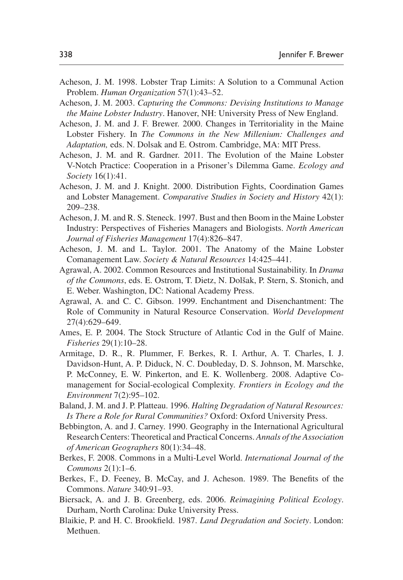- <span id="page-20-8"></span>Acheson, J. M. 1998. Lobster Trap Limits: A Solution to a Communal Action Problem. *Human Organization* 57(1):43–52.
- <span id="page-20-3"></span>Acheson, J. M. 2003. *Capturing the Commons: Devising Institutions to Manage the Maine Lobster Industry*. Hanover, NH: University Press of New England.
- <span id="page-20-13"></span>Acheson, J. M. and J. F. Brewer. 2000. Changes in Territoriality in the Maine Lobster Fishery. In *The Commons in the New Millenium: Challenges and Adaptation,* eds. N. Dolsak and E. Ostrom. Cambridge, MA: MIT Press.
- <span id="page-20-2"></span>Acheson, J. M. and R. Gardner. 2011. The Evolution of the Maine Lobster V-Notch Practice: Cooperation in a Prisoner's Dilemma Game. *Ecology and Society* 16(1):41.
- <span id="page-20-1"></span>Acheson, J. M. and J. Knight. 2000. Distribution Fights, Coordination Games and Lobster Management. *Comparative Studies in Society and History* 42(1): 209–238.
- <span id="page-20-12"></span>Acheson, J. M. and R. S. Steneck. 1997. Bust and then Boom in the Maine Lobster Industry: Perspectives of Fisheries Managers and Biologists. *North American Journal of Fisheries Management* 17(4):826–847.
- <span id="page-20-14"></span>Acheson, J. M. and L. Taylor. 2001. The Anatomy of the Maine Lobster Comanagement Law. *Society & Natural Resources* 14:425–441.
- <span id="page-20-4"></span>Agrawal, A. 2002. Common Resources and Institutional Sustainability. In *Drama of the Commons*, eds. E. Ostrom, T. Dietz, N. Dolšak, P. Stern, S. Stonich, and E. Weber. Washington, DC: National Academy Press.
- <span id="page-20-6"></span>Agrawal, A. and C. C. Gibson. 1999. Enchantment and Disenchantment: The Role of Community in Natural Resource Conservation. *World Development* 27(4):629–649.
- <span id="page-20-15"></span>Ames, E. P. 2004. The Stock Structure of Atlantic Cod in the Gulf of Maine. *Fisheries* 29(1):10–28.
- Armitage, D. R., R. Plummer, F. Berkes, R. I. Arthur, A. T. Charles, I. J. Davidson-Hunt, A. P. Diduck, N. C. Doubleday, D. S. Johnson, M. Marschke, P. McConney, E. W. Pinkerton, and E. K. Wollenberg. 2008. Adaptive Comanagement for Social-ecological Complexity. *Frontiers in Ecology and the Environment* 7(2):95–102.
- <span id="page-20-7"></span>Baland, J. M. and J. P. Platteau. 1996. *Halting Degradation of Natural Resources: Is There a Role for Rural Communities?* Oxford: Oxford University Press.
- <span id="page-20-10"></span>Bebbington, A. and J. Carney. 1990. Geography in the International Agricultural Research Centers: Theoretical and Practical Concerns. *Annals of the Association of American Geographers* 80(1):34–48.
- <span id="page-20-5"></span>Berkes, F. 2008. Commons in a Multi-Level World. *International Journal of the Commons* 2(1):1–6.
- <span id="page-20-0"></span>Berkes, F., D. Feeney, B. McCay, and J. Acheson. 1989. The Benefits of the Commons. *Nature* 340:91–93.
- <span id="page-20-11"></span>Biersack, A. and J. B. Greenberg, eds. 2006. *Reimagining Political Ecology*. Durham, North Carolina: Duke University Press.
- <span id="page-20-9"></span>Blaikie, P. and H. C. Brookfield. 1987. *Land Degradation and Society*. London: Methuen.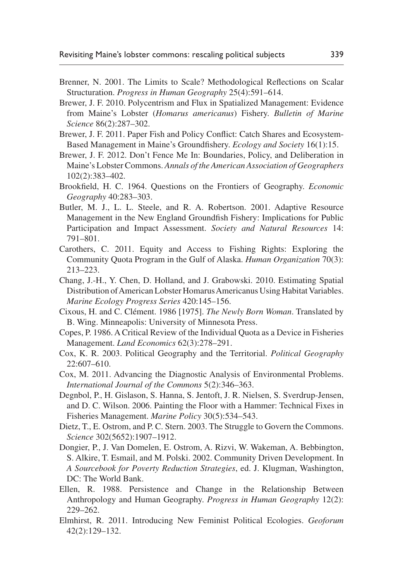- <span id="page-21-7"></span>Brenner, N. 2001. The Limits to Scale? Methodological Reflections on Scalar Structuration. *Progress in Human Geography* 25(4):591–614.
- <span id="page-21-12"></span>Brewer, J. F. 2010. Polycentrism and Flux in Spatialized Management: Evidence from Maine's Lobster (*Homarus americanus*) Fishery. *Bulletin of Marine Science* 86(2):287–302.
- <span id="page-21-13"></span>Brewer, J. F. 2011. Paper Fish and Policy Conflict: Catch Shares and Ecosystem-Based Management in Maine's Groundfishery. *Ecology and Society* 16(1):15.
- <span id="page-21-11"></span>Brewer, J. F. 2012. Don't Fence Me In: Boundaries, Policy, and Deliberation in Maine's Lobster Commons. *Annals of the American Association of Geographers* 102(2):383–402.
- <span id="page-21-6"></span>Brookfield, H. C. 1964. Questions on the Frontiers of Geography. *Economic Geography* 40:283–303.
- <span id="page-21-15"></span>Butler, M. J., L. L. Steele, and R. A. Robertson. 2001. Adaptive Resource Management in the New England Groundfish Fishery: Implications for Public Participation and Impact Assessment. *Society and Natural Resources* 14: 791–801.
- <span id="page-21-4"></span>Carothers, C. 2011. Equity and Access to Fishing Rights: Exploring the Community Quota Program in the Gulf of Alaska. *Human Organization* 70(3): 213–223.
- <span id="page-21-14"></span>Chang, J.-H., Y. Chen, D. Holland, and J. Grabowski. 2010. Estimating Spatial Distribution of American Lobster Homarus Americanus Using Habitat Variables. *Marine Ecology Progress Series* 420:145–156.
- <span id="page-21-10"></span>Cixous, H. and C. Clément. 1986 [1975]. *The Newly Born Woman*. Translated by B. Wing. Minneapolis: University of Minnesota Press.
- <span id="page-21-2"></span>Copes, P. 1986. A Critical Review of the Individual Quota as a Device in Fisheries Management. *Land Economics* 62(3):278–291.
- <span id="page-21-8"></span>Cox, K. R. 2003. Political Geography and the Territorial. *Political Geography* 22:607–610.
- Cox, M. 2011. Advancing the Diagnostic Analysis of Environmental Problems. *International Journal of the Commons* 5(2):346–363.
- <span id="page-21-3"></span>Degnbol, P., H. Gislason, S. Hanna, S. Jentoft, J. R. Nielsen, S. Sverdrup-Jensen, and D. C. Wilson. 2006. Painting the Floor with a Hammer: Technical Fixes in Fisheries Management. *Marine Policy* 30(5):534–543.
- <span id="page-21-0"></span>Dietz, T., E. Ostrom, and P. C. Stern. 2003. The Struggle to Govern the Commons. *Science* 302(5652):1907–1912.
- <span id="page-21-1"></span>Dongier, P., J. Van Domelen, E. Ostrom, A. Rizvi, W. Wakeman, A. Bebbington, S. Alkire, T. Esmail, and M. Polski. 2002. Community Driven Development. In *A Sourcebook for Poverty Reduction Strategies*, ed. J. Klugman, Washington, DC: The World Bank.
- <span id="page-21-5"></span>Ellen, R. 1988. Persistence and Change in the Relationship Between Anthropology and Human Geography. *Progress in Human Geography* 12(2): 229–262.
- <span id="page-21-9"></span>Elmhirst, R. 2011. Introducing New Feminist Political Ecologies. *Geoforum* 42(2):129–132.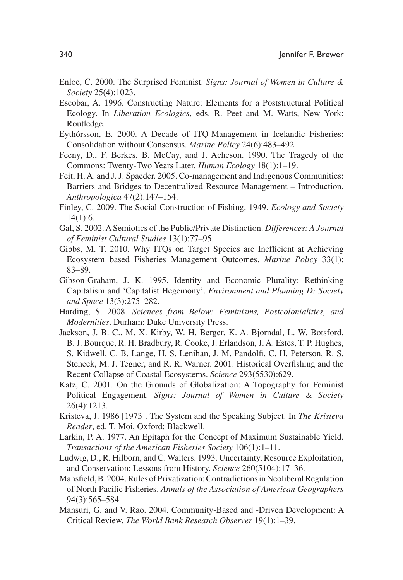- <span id="page-22-9"></span>Enloe, C. 2000. The Surprised Feminist. *Signs: Journal of Women in Culture & Society* 25(4):1023.
- <span id="page-22-6"></span>Escobar, A. 1996. Constructing Nature: Elements for a Poststructural Political Ecology. In *Liberation Ecologies*, eds. R. Peet and M. Watts, New York: Routledge.
- <span id="page-22-2"></span>Eythórsson, E. 2000. A Decade of ITQ-Management in Icelandic Fisheries: Consolidation without Consensus. *Marine Policy* 24(6):483–492.
- <span id="page-22-12"></span>Feeny, D., F. Berkes, B. McCay, and J. Acheson. 1990. The Tragedy of the Commons: Twenty-Two Years Later. *Human Ecology* 18(1):1–19.
- <span id="page-22-1"></span>Feit, H. A. and J. J. Spaeder. 2005. Co-management and Indigenous Communities: Barriers and Bridges to Decentralized Resource Management – Introduction. *Anthropologica* 47(2):147–154.
- <span id="page-22-14"></span>Finley, C. 2009. The Social Construction of Fishing, 1949. *Ecology and Society* 14(1):6.
- <span id="page-22-5"></span>Gal, S. 2002. A Semiotics of the Public/Private Distinction. *Differences: A Journal of Feminist Cultural Studies* 13(1):77–95.
- <span id="page-22-4"></span>Gibbs, M. T. 2010. Why ITQs on Target Species are Inefficient at Achieving Ecosystem based Fisheries Management Outcomes. *Marine Policy* 33(1): 83–89.
- <span id="page-22-7"></span>Gibson-Graham, J. K. 1995. Identity and Economic Plurality: Rethinking Capitalism and 'Capitalist Hegemony'. *Environment and Planning D: Society and Space* 13(3):275–282.
- <span id="page-22-10"></span>Harding, S. 2008. *Sciences from Below: Feminisms, Postcolonialities, and Modernities*. Durham: Duke University Press.
- <span id="page-22-16"></span>Jackson, J. B. C., M. X. Kirby, W. H. Berger, K. A. Bjorndal, L. W. Botsford, B. J. Bourque, R. H. Bradbury, R. Cooke, J. Erlandson, J. A. Estes, T. P. Hughes, S. Kidwell, C. B. Lange, H. S. Lenihan, J. M. Pandolfi, C. H. Peterson, R. S. Steneck, M. J. Tegner, and R. R. Warner. 2001. Historical Overfishing and the Recent Collapse of Coastal Ecosystems. *Science* 293(5530):629.
- <span id="page-22-8"></span>Katz, C. 2001. On the Grounds of Globalization: A Topography for Feminist Political Engagement. *Signs: Journal of Women in Culture & Society* 26(4):1213.
- <span id="page-22-11"></span>Kristeva, J. 1986 [1973]. The System and the Speaking Subject. In *The Kristeva Reader*, ed. T. Moi, Oxford: Blackwell.
- <span id="page-22-13"></span>Larkin, P. A. 1977. An Epitaph for the Concept of Maximum Sustainable Yield. *Transactions of the American Fisheries Society* 106(1):1–11.
- <span id="page-22-15"></span>Ludwig, D., R. Hilborn, and C. Walters. 1993. Uncertainty, Resource Exploitation, and Conservation: Lessons from History. *Science* 260(5104):17–36.
- <span id="page-22-3"></span>Mansfield, B. 2004. Rules of Privatization: Contradictions in Neoliberal Regulation of North Pacific Fisheries. *Annals of the Association of American Geographers* 94(3):565–584.
- <span id="page-22-0"></span>Mansuri, G. and V. Rao. 2004. Community-Based and -Driven Development: A Critical Review. *The World Bank Research Observer* 19(1):1–39.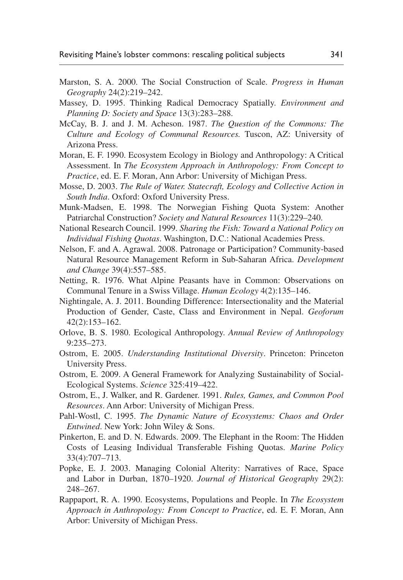- <span id="page-23-12"></span>Marston, S. A. 2000. The Social Construction of Scale. *Progress in Human Geography* 24(2):219–242.
- <span id="page-23-15"></span>Massey, D. 1995. Thinking Radical Democracy Spatially. *Environment and Planning D: Society and Space* 13(3):283–288.
- <span id="page-23-7"></span>McCay, B. J. and J. M. Acheson. 1987. *The Question of the Commons: The Culture and Ecology of Communal Resources.* Tuscon, AZ: University of Arizona Press.
- <span id="page-23-10"></span>Moran, E. F. 1990. Ecosystem Ecology in Biology and Anthropology: A Critical Assessment. In *The Ecosystem Approach in Anthropology: From Concept to Practice*, ed. E. F. Moran, Ann Arbor: University of Michigan Press.
- <span id="page-23-14"></span>Mosse, D. 2003. *The Rule of Water. Statecraft, Ecology and Collective Action in South India*. Oxford: Oxford University Press.
- <span id="page-23-3"></span>Munk-Madsen, E. 1998. The Norwegian Fishing Quota System: Another Patriarchal Construction? *Society and Natural Resources* 11(3):229–240.
- <span id="page-23-4"></span>National Research Council. 1999. *Sharing the Fish: Toward a National Policy on Individual Fishing Quotas*. Washington, D.C.: National Academies Press.
- <span id="page-23-2"></span>Nelson, F. and A. Agrawal. 2008. Patronage or Participation? Community-based Natural Resource Management Reform in Sub-Saharan Africa. *Development and Change* 39(4):557–585.
- <span id="page-23-6"></span>Netting, R. 1976. What Alpine Peasants have in Common: Observations on Communal Tenure in a Swiss Village. *Human Ecology* 4(2):135–146.
- <span id="page-23-16"></span>Nightingale, A. J. 2011. Bounding Difference: Intersectionality and the Material Production of Gender, Caste, Class and Environment in Nepal. *Geoforum* 42(2):153–162.
- <span id="page-23-11"></span>Orlove, B. S. 1980. Ecological Anthropology. *Annual Review of Anthropology* 9:235–273.
- <span id="page-23-0"></span>Ostrom, E. 2005. *Understanding Institutional Diversity*. Princeton: Princeton University Press.
- <span id="page-23-1"></span>Ostrom, E. 2009. A General Framework for Analyzing Sustainability of Social-Ecological Systems. *Science* 325:419–422.
- <span id="page-23-8"></span>Ostrom, E., J. Walker, and R. Gardener. 1991. *Rules, Games, and Common Pool Resources*. Ann Arbor: University of Michigan Press.
- <span id="page-23-17"></span>Pahl-Wostl, C. 1995. *The Dynamic Nature of Ecosystems: Chaos and Order Entwined*. New York: John Wiley & Sons.
- <span id="page-23-5"></span>Pinkerton, E. and D. N. Edwards. 2009. The Elephant in the Room: The Hidden Costs of Leasing Individual Transferable Fishing Quotas. *Marine Policy* 33(4):707–713.
- <span id="page-23-13"></span>Popke, E. J. 2003. Managing Colonial Alterity: Narratives of Race, Space and Labor in Durban, 1870–1920. *Journal of Historical Geography* 29(2): 248–267.
- <span id="page-23-9"></span>Rappaport, R. A. 1990. Ecosystems, Populations and People. In *The Ecosystem Approach in Anthropology: From Concept to Practice*, ed. E. F. Moran, Ann Arbor: University of Michigan Press.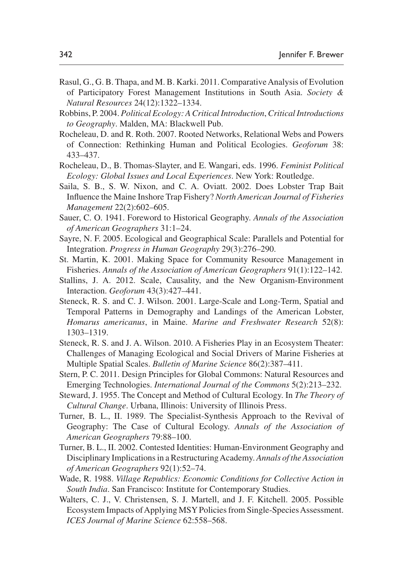- <span id="page-24-2"></span>Rasul, G., G. B. Thapa, and M. B. Karki. 2011. Comparative Analysis of Evolution of Participatory Forest Management Institutions in South Asia. *Society & Natural Resources* 24(12):1322–1334.
- <span id="page-24-5"></span>Robbins, P. 2004. *Political Ecology: A Critical Introduction*, *Critical Introductions to Geography*. Malden, MA: Blackwell Pub.
- <span id="page-24-10"></span>Rocheleau, D. and R. Roth. 2007. Rooted Networks, Relational Webs and Powers of Connection: Rethinking Human and Political Ecologies. *Geoforum* 38: 433–437.
- <span id="page-24-9"></span>Rocheleau, D., B. Thomas-Slayter, and E. Wangari, eds. 1996. *Feminist Political Ecology: Global Issues and Local Experiences*. New York: Routledge.
- <span id="page-24-13"></span>Saila, S. B., S. W. Nixon, and C. A. Oviatt. 2002. Does Lobster Trap Bait Influence the Maine Inshore Trap Fishery? *North American Journal of Fisheries Management* 22(2):602–605.
- <span id="page-24-6"></span>Sauer, C. O. 1941. Foreword to Historical Geography. *Annals of the Association of American Geographers* 31:1–24.
- <span id="page-24-0"></span>Sayre, N. F. 2005. Ecological and Geographical Scale: Parallels and Potential for Integration. *Progress in Human Geography* 29(3):276–290.
- <span id="page-24-14"></span>St. Martin, K. 2001. Making Space for Community Resource Management in Fisheries. *Annals of the Association of American Geographers* 91(1):122–142.
- <span id="page-24-1"></span>Stallins, J. A. 2012. Scale, Causality, and the New Organism-Environment Interaction. *Geoforum* 43(3):427–441.
- <span id="page-24-12"></span>Steneck, R. S. and C. J. Wilson. 2001. Large-Scale and Long-Term, Spatial and Temporal Patterns in Demography and Landings of the American Lobster, *Homarus americanus*, in Maine. *Marine and Freshwater Research* 52(8): 1303–1319.
- <span id="page-24-11"></span>Steneck, R. S. and J. A. Wilson. 2010. A Fisheries Play in an Ecosystem Theater: Challenges of Managing Ecological and Social Drivers of Marine Fisheries at Multiple Spatial Scales. *Bulletin of Marine Science* 86(2):387–411.
- <span id="page-24-16"></span>Stern, P. C. 2011. Design Principles for Global Commons: Natural Resources and Emerging Technologies. *International Journal of the Commons* 5(2):213–232.
- <span id="page-24-7"></span>Steward, J. 1955. The Concept and Method of Cultural Ecology. In *The Theory of Cultural Change*. Urbana, Illinois: University of Illinois Press.
- <span id="page-24-4"></span>Turner, B. L., II. 1989. The Specialist-Synthesis Approach to the Revival of Geography: The Case of Cultural Ecology. *Annals of the Association of American Geographers* 79:88–100.
- <span id="page-24-8"></span>Turner, B. L., II. 2002. Contested Identities: Human-Environment Geography and Disciplinary Implications in a Restructuring Academy. *Annals of the Association of American Geographers* 92(1):52–74.
- <span id="page-24-3"></span>Wade, R. 1988. *Village Republics: Economic Conditions for Collective Action in South India*. San Francisco: Institute for Contemporary Studies.
- <span id="page-24-15"></span>Walters, C. J., V. Christensen, S. J. Martell, and J. F. Kitchell. 2005. Possible Ecosystem Impacts of Applying MSY Policies from Single-Species Assessment. *ICES Journal of Marine Science* 62:558–568.